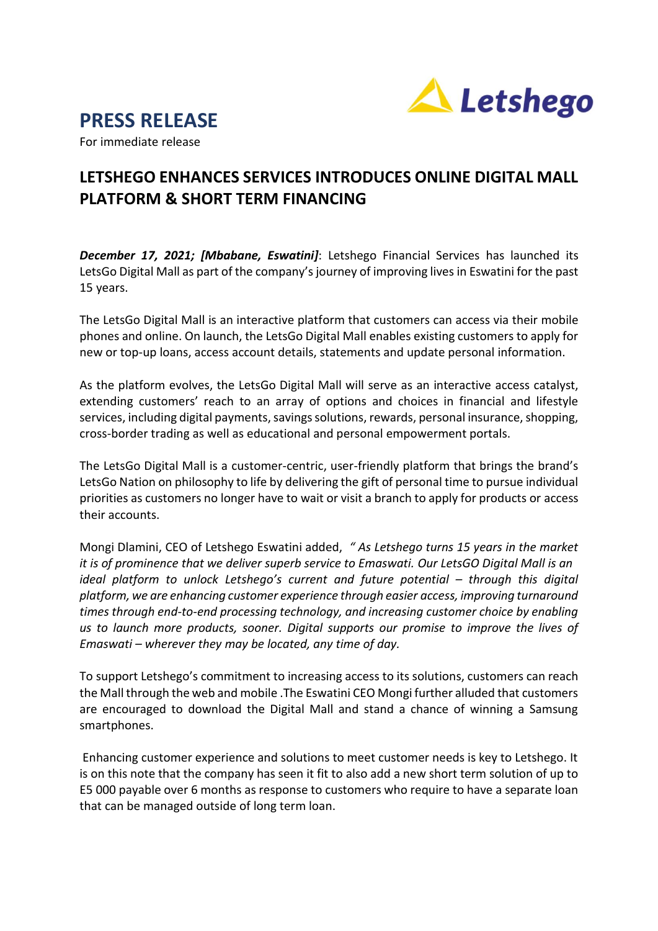



For immediate release

## **LETSHEGO ENHANCES SERVICES INTRODUCES ONLINE DIGITAL MALL PLATFORM & SHORT TERM FINANCING**

*December 17, 2021; [Mbabane, Eswatini]*: Letshego Financial Services has launched its LetsGo Digital Mall as part of the company's journey of improving lives in Eswatini for the past 15 years.

The LetsGo Digital Mall is an interactive platform that customers can access via their mobile phones and online. On launch, the LetsGo Digital Mall enables existing customers to apply for new or top-up loans, access account details, statements and update personal information.

As the platform evolves, the LetsGo Digital Mall will serve as an interactive access catalyst, extending customers' reach to an array of options and choices in financial and lifestyle services, including digital payments, savings solutions, rewards, personal insurance, shopping, cross-border trading as well as educational and personal empowerment portals.

The LetsGo Digital Mall is a customer-centric, user-friendly platform that brings the brand's LetsGo Nation on philosophy to life by delivering the gift of personal time to pursue individual priorities as customers no longer have to wait or visit a branch to apply for products or access their accounts.

Mongi Dlamini, CEO of Letshego Eswatini added, *" As Letshego turns 15 years in the market it is of prominence that we deliver superb service to Emaswati. Our LetsGO Digital Mall is an ideal platform to unlock Letsheqo's current and future potential – through this digital platform, we are enhancing customer experience through easier access, improving turnaround times through end-to-end processing technology, and increasing customer choice by enabling us to launch more products, sooner. Digital supports our promise to improve the lives of Emaswati – wherever they may be located, any time of day.* 

To support Letshego's commitment to increasing access to its solutions, customers can reach the Mall through the web and mobile .The Eswatini CEO Mongi further alluded that customers are encouraged to download the Digital Mall and stand a chance of winning a Samsung smartphones.

Enhancing customer experience and solutions to meet customer needs is key to Letshego. It is on this note that the company has seen it fit to also add a new short term solution of up to E5 000 payable over 6 months as response to customers who require to have a separate loan that can be managed outside of long term loan.